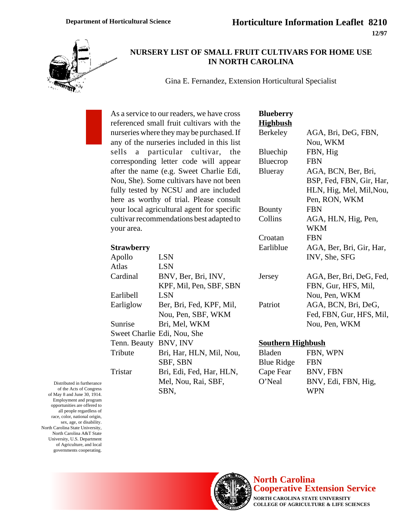

### **NURSERY LIST OF SMALL FRUIT CULTIVARS FOR HOME USE IN NORTH CAROLINA**

Gina E. Fernandez, Extension Horticultural Specialist

As a service to our readers, we have cross referenced small fruit cultivars with the nurseries where they may be purchased. If any of the nurseries included in this list sells a particular cultivar, the corresponding letter code will appear after the name (e.g. Sweet Charlie Edi, Nou, She). Some cultivars have not been fully tested by NCSU and are included here as worthy of trial. Please consult your local agricultural agent for specific cultivar recommendations best adapted to your area.

| Apollo                | <b>LSN</b>                  |
|-----------------------|-----------------------------|
| Atlas                 | <b>LSN</b>                  |
| Cardinal              | BNV, Ber, Bri, INV,         |
|                       | KPF, Mil, Pen, SBF, SBN     |
| Earlibell             | <b>LSN</b>                  |
| Earliglow             | Ber, Bri, Fed, KPF, Mil,    |
|                       | Nou, Pen, SBF, WKM          |
| Sunrise               | Bri, Mel, WKM               |
|                       | Sweet Charlie Edi, Nou, She |
| Tenn. Beauty BNV, INV |                             |
| Tribute               | Bri, Har, HLN, Mil, Nou,    |
|                       | SBF, SBN                    |
| Tristar               | Bri, Edi, Fed, Har, HLN,    |
|                       | Mel, Nou, Rai, SBF,         |
|                       |                             |

SBN,

| Blueberry       |                          |
|-----------------|--------------------------|
| <u>Highbush</u> |                          |
| Berkeley        | AGA, Bri, DeG, FBN,      |
|                 | Nou, WKM                 |
| Bluechip        | FBN, Hig                 |
| Bluecrop        | <b>FBN</b>               |
| Blueray         | AGA, BCN, Ber, Bri,      |
|                 | BSP, Fed, FBN, Gir, Har, |
|                 | HLN, Hig, Mel, Mil, Nou, |
|                 | Pen, RON, WKM            |
| Bounty          | <b>FBN</b>               |
| Collins         | AGA, HLN, Hig, Pen,      |
|                 | <b>WKM</b>               |
| Croatan         | <b>FBN</b>               |
| Earliblue       | AGA, Ber, Bri, Gir, Har, |
|                 | INV, She, SFG            |
| Jersey          | AGA, Ber, Bri, DeG, Fed, |
|                 | FBN, Gur, HFS, Mil,      |
|                 | Nou, Pen, WKM            |
| Patriot         | AGA, BCN, Bri, DeG,      |
|                 | Fed, FBN, Gur, HFS, Mil, |
|                 | Nou, Pen, WKM            |

### **Southern Highbush**

| Bladen     | FBN, WPN            |
|------------|---------------------|
| Blue Ridge | <b>FBN</b>          |
| Cape Fear  | BNV, FBN            |
| O'Neal     | BNV, Edi, FBN, Hig, |
|            | <b>WPN</b>          |

Distributed in furtherance of the Acts of Congress of May 8 and June 30, 1914. Employment and program opportunities are offered to all people regardless of race, color, national origin, sex, age, or disability. North Carolina State University, North Carolina A&T State University, U.S. Department of Agriculture, and local governments cooperating.



# **North Carolina Cooperative Extension Service**

**NORTH CAROLINA STATE UNIVERSITY COLLEGE OF AGRICULTURE & LIFE SCIENCES**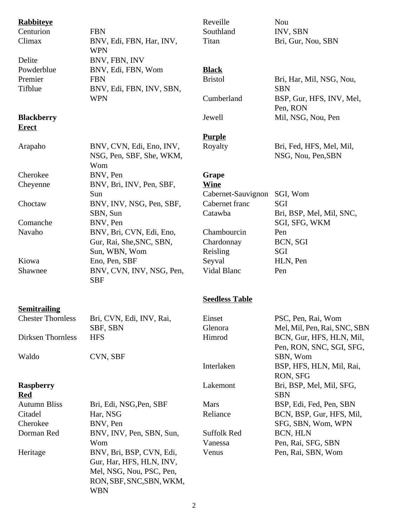| <b>Rabbiteye</b>                  |                                                                                                                            | Reveille              | Nou                                                  |
|-----------------------------------|----------------------------------------------------------------------------------------------------------------------------|-----------------------|------------------------------------------------------|
| Centurion                         | <b>FBN</b>                                                                                                                 | Southland             | INV, SBN                                             |
| Climax                            | BNV, Edi, FBN, Har, INV,<br><b>WPN</b>                                                                                     | Titan                 | Bri, Gur, Nou, SBN                                   |
| Delite                            | BNV, FBN, INV                                                                                                              |                       |                                                      |
| Powderblue                        | BNV, Edi, FBN, Wom                                                                                                         | <b>Black</b>          |                                                      |
| Premier                           | <b>FBN</b>                                                                                                                 | <b>Bristol</b>        | Bri, Har, Mil, NSG, Nou,                             |
| Tifblue                           | BNV, Edi, FBN, INV, SBN,                                                                                                   |                       | <b>SBN</b>                                           |
|                                   | <b>WPN</b>                                                                                                                 | Cumberland            | BSP, Gur, HFS, INV, Mel,<br>Pen, RON                 |
| <b>Blackberry</b><br><b>Erect</b> |                                                                                                                            | Jewell                | Mil, NSG, Nou, Pen                                   |
|                                   |                                                                                                                            | <b>Purple</b>         |                                                      |
|                                   | BNV, CVN, Edi, Eno, INV,                                                                                                   | Royalty               | Bri, Fed, HFS, Mel, Mil,                             |
| Arapaho                           | NSG, Pen, SBF, She, WKM,<br>Wom                                                                                            |                       | NSG, Nou, Pen, SBN                                   |
| Cherokee                          | BNV, Pen                                                                                                                   | Grape                 |                                                      |
| Cheyenne                          | BNV, Bri, INV, Pen, SBF,                                                                                                   | <b>Wine</b>           |                                                      |
|                                   | Sun                                                                                                                        | Cabernet-Sauvignon    | SGI, Wom                                             |
| Choctaw                           | BNV, INV, NSG, Pen, SBF,                                                                                                   | Cabernet franc        | SGI                                                  |
|                                   | SBN, Sun                                                                                                                   | Catawba               | Bri, BSP, Mel, Mil, SNC,                             |
| Comanche                          | BNV, Pen                                                                                                                   |                       | SGI, SFG, WKM                                        |
| Navaho                            | BNV, Bri, CVN, Edi, Eno,                                                                                                   | Chambourcin           | Pen                                                  |
|                                   | Gur, Rai, She, SNC, SBN,                                                                                                   | Chardonnay            | BCN, SGI                                             |
|                                   | Sun, WBN, Wom                                                                                                              | Reisling              | SGI                                                  |
| Kiowa                             | Eno, Pen, SBF                                                                                                              | Seyval                | HLN, Pen                                             |
| Shawnee                           | BNV, CVN, INV, NSG, Pen,<br><b>SBF</b>                                                                                     | Vidal Blanc           | Pen                                                  |
|                                   |                                                                                                                            | <b>Seedless Table</b> |                                                      |
| <b>Semitrailing</b>               |                                                                                                                            |                       |                                                      |
| <b>Chester Thornless</b>          | Bri, CVN, Edi, INV, Rai,                                                                                                   | Einset                | PSC, Pen, Rai, Wom                                   |
|                                   | SBF, SBN                                                                                                                   | Glenora               | Mel, Mil, Pen, Rai, SNC, SBN                         |
| Dirksen Thornless                 | <b>HFS</b>                                                                                                                 | Himrod                | BCN, Gur, HFS, HLN, Mil,<br>Pen, RON, SNC, SGI, SFG, |
| Waldo                             | CVN, SBF                                                                                                                   |                       | SBN, Wom                                             |
|                                   |                                                                                                                            | Interlaken            | BSP, HFS, HLN, Mil, Rai,<br>RON, SFG                 |
| <b>Raspberry</b><br><b>Red</b>    |                                                                                                                            | Lakemont              | Bri, BSP, Mel, Mil, SFG,<br><b>SBN</b>               |
| <b>Autumn Bliss</b>               | Bri, Edi, NSG, Pen, SBF                                                                                                    | <b>Mars</b>           | BSP, Edi, Fed, Pen, SBN                              |
| Citadel                           | Har, NSG                                                                                                                   | Reliance              | BCN, BSP, Gur, HFS, Mil,                             |
| Cherokee                          | BNV, Pen                                                                                                                   |                       | SFG, SBN, Wom, WPN                                   |
| Dorman Red                        | BNV, INV, Pen, SBN, Sun,                                                                                                   | <b>Suffolk Red</b>    | BCN, HLN                                             |
|                                   | Wom                                                                                                                        | Vanessa               | Pen, Rai, SFG, SBN                                   |
| Heritage                          | BNV, Bri, BSP, CVN, Edi,<br>Gur, Har, HFS, HLN, INV,<br>Mel, NSG, Nou, PSC, Pen,<br>RON, SBF, SNC, SBN, WKM,<br><b>WBN</b> | Venus                 | Pen, Rai, SBN, Wom                                   |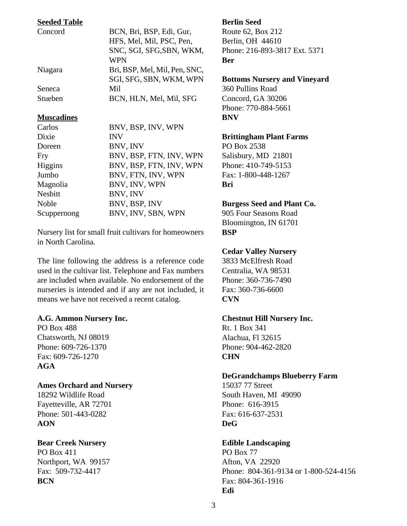### **Seeded Table**

| Concord | BCN, Bri, BSP, Edi, Gur,      |
|---------|-------------------------------|
|         | HFS, Mel, Mil, PSC, Pen,      |
|         | SNC, SGI, SFG, SBN, WKM,      |
|         | <b>WPN</b>                    |
| Niagara | Bri, BSP, Mel, Mil, Pen, SNC, |
|         | SGI, SFG, SBN, WKM, WPN       |
| Seneca  | Mil                           |
| Stueben | BCN, HLN, Mel, Mil, SFG       |

#### **Muscadines**

| Carlos      | BNV, BSP, INV, WPN      |
|-------------|-------------------------|
| Dixie       | <b>INV</b>              |
| Doreen      | BNV, INV                |
| Fry         | BNV, BSP, FTN, INV, WPN |
| Higgins     | BNV, BSP, FTN, INV, WPN |
| Jumbo       | BNV, FTN, INV, WPN      |
| Magnolia    | BNV, INV, WPN           |
| Nesbitt     | BNV, INV                |
| Noble       | BNV, BSP, INV           |
| Scuppernong | BNV, INV, SBN, WPN      |

Nursery list for small fruit cultivars for homeowners in North Carolina.

The line following the address is a reference code used in the cultivar list. Telephone and Fax numbers are included when available. No endorsement of the nurseries is intended and if any are not included, it means we have not received a recent catalog.

### **A.G. Ammon Nursery Inc.**

PO Box 488 Chatsworth, NJ 08019 Phone: 609-726-1370 Fax: 609-726-1270 **AGA**

### **Ames Orchard and Nursery**

18292 Wildlife Road Fayetteville, AR 72701 Phone: 501-443-0282 **AON**

### **Bear Creek Nursery**

PO Box 411 Northport, WA 99157 Fax: 509-732-4417 **BCN**

### **Berlin Seed**

Route 62, Box 212 Berlin, OH 44610 Phone: 216-893-3817 Ext. 5371 **Ber**

### **Bottoms Nursery and Vineyard**

360 Pullins Road Concord, GA 30206 Phone: 770-884-5661 **BNV**

### **Brittingham Plant Farms**

PO Box 2538 Salisbury, MD 21801 Phone: 410-749-5153 Fax: 1-800-448-1267 **Bri**

### **Burgess Seed and Plant Co.**

905 Four Seasons Road Bloomington, IN 61701 **BSP**

### **Cedar Valley Nursery**

3833 McElfresh Road Centralia, WA 98531 Phone: 360-736-7490 Fax: 360-736-6600 **CVN**

### **Chestnut Hill Nursery Inc.**

Rt. 1 Box 341 Alachua, Fl 32615 Phone: 904-462-2820 **CHN**

### **DeGrandchamps Blueberry Farm**

15037 77 Street South Haven, MI 49090 Phone: 616-3915 Fax: 616-637-2531 **DeG**

### **Edible Landscaping**

PO Box 77 Afton, VA 22920 Phone: 804-361-9134 or 1-800-524-4156 Fax: 804-361-1916 **Edi**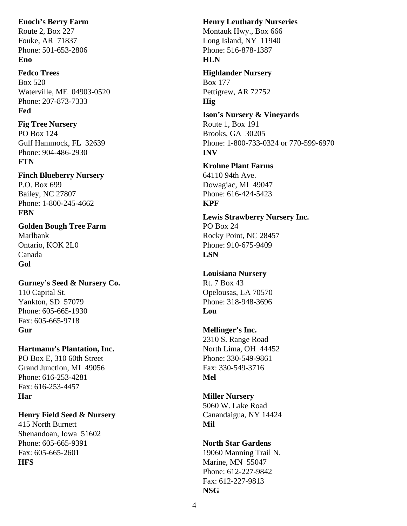### **Enoch's Berry Farm**

Route 2, Box 227 Fouke, AR 71837 Phone: 501-653-2806 **Eno**

### **Fedco Trees**

Box 520 Waterville, ME 04903-0520 Phone: 207-873-7333 **Fed**

### **Fig Tree Nursery**

PO Box 124 Gulf Hammock, FL 32639 Phone: 904-486-2930 **FTN**

# **Finch Blueberry Nursery** P.O. Box 699 Bailey, NC 27807

Phone: 1-800-245-4662 **FBN**

#### **Golden Bough Tree Farm** Marlbank

Ontario, KOK 2L0 Canada **Gol**

### **Gurney's Seed & Nursery Co.** 110 Capital St. Yankton, SD 57079 Phone: 605-665-1930 Fax: 605-665-9718 **Gur**

# **Hartmann's Plantation, Inc.**

PO Box E, 310 60th Street Grand Junction, MI 49056 Phone: 616-253-4281 Fax: 616-253-4457 **Har**

# **Henry Field Seed & Nursery**

415 North Burnett Shenandoan, Iowa 51602 Phone: 605-665-9391 Fax: 605-665-2601 **HFS**

### **Henry Leuthardy Nurseries** Montauk Hwy., Box 666 Long Island, NY 11940 Phone: 516-878-1387 **HLN**

### **Highlander Nursery** Box 177 Pettigrew, AR 72752 **Hig**

# **Ison's Nursery & Vineyards**

Route 1, Box 191 Brooks, GA 30205 Phone: 1-800-733-0324 or 770-599-6970 **INV**

### **Krohne Plant Farms** 64110 94th Ave.

Dowagiac, MI 49047 Phone: 616-424-5423 **KPF**

### **Lewis Strawberry Nursery Inc.** PO Box 24 Rocky Point, NC 28457 Phone: 910-675-9409 **LSN**

### **Louisiana Nursery** Rt. 7 Box 43 Opelousas, LA 70570 Phone: 318-948-3696 **Lou**

### **Mellinger's Inc.** 2310 S. Range Road North Lima, OH 44452 Phone: 330-549-9861 Fax: 330-549-3716 **Mel**

### **Miller Nursery** 5060 W. Lake Road Canandaigua, NY 14424 **Mil**

### **North Star Gardens** 19060 Manning Trail N. Marine, MN 55047 Phone: 612-227-9842 Fax: 612-227-9813 **NSG**